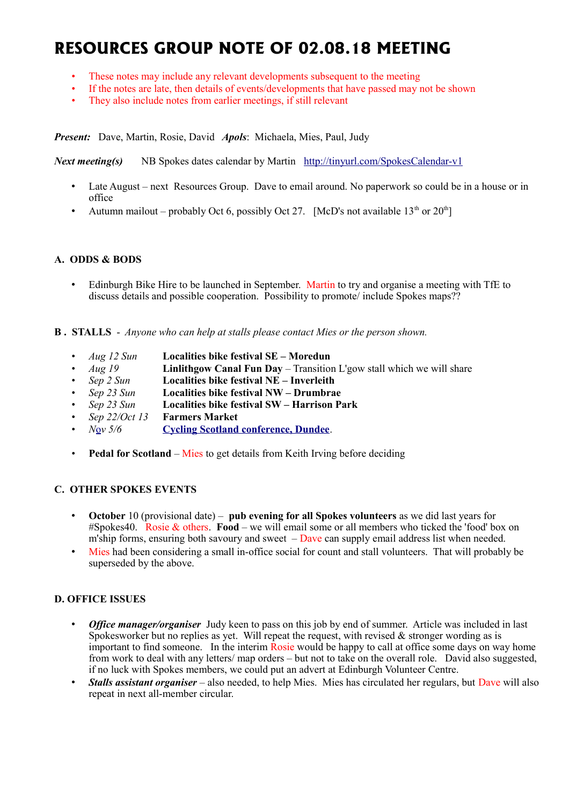# **RESOURCES GROUP NOTE OF 02.08.18 MEETING**

- These notes may include any relevant developments subsequent to the meeting
- If the notes are late, then details of events/developments that have passed may not be shown
- They also include notes from earlier meetings, if still relevant

*Present:* Dave, Martin, Rosie, David *Apols*: Michaela, Mies, Paul, Judy

*Next meeting(s)* NB Spokes dates calendar by Martin <http://tinyurl.com/SpokesCalendar-v1>

- Late August next Resources Group. Dave to email around. No paperwork so could be in a house or in office
- Autumn mailout probably Oct 6, possibly Oct 27. [McD's not available  $13<sup>th</sup>$  or  $20<sup>th</sup>$ ]

#### **A. ODDS & BODS**

• Edinburgh Bike Hire to be launched in September. Martin to try and organise a meeting with TfE to discuss details and possible cooperation. Possibility to promote/ include Spokes maps??

**B . STALLS** - *Anyone who can help at stalls please contact Mies or the person shown.*

- *Aug 12 Sun* **Localities bike festival SE Moredun**
- *Aug 19* **Linlithgow Canal Fun Day** Transition L'gow stall which we will share
- *Sep 2 Sun* **Localities bike festival NE Inverleith**
- *Sep 23 Sun* **Localities bike festival NW Drumbrae**
- *Sep 23 Sun* **Localities bike festival SW Harrison Park**
- *Sep 22/Oct 13* **Farmers Market**
- *N*[o](https://www.pathsforall.org.uk/pfa/get-involved/scotlands-national-active-travel-conference.html)*v 5/6* **[Cycling Scotland conference, Dundee](http://mailchi.mp/cycling/early-bird-discount-ends-today-monday-2nd-october-2036965?e=df4f9c501f)**.
- **Pedal for Scotland** Mies to get details from Keith Irving before deciding

## **C. OTHER SPOKES EVENTS**

- **October** 10 (provisional date) **pub evening for all Spokes volunteers** as we did last years for #Spokes40. Rosie & others. **Food** – we will email some or all members who ticked the 'food' box on m'ship forms, ensuring both savoury and sweet  $-\text{Dave}$  can supply email address list when needed.
- Mies had been considering a small in-office social for count and stall volunteers. That will probably be superseded by the above.

#### **D. OFFICE ISSUES**

- *Office manager/organiser* Judy keen to pass on this job by end of summer. Article was included in last Spokesworker but no replies as yet. Will repeat the request, with revised  $\&$  stronger wording as is important to find someone. In the interim  $\hat{\text{Rosie}}$  would be happy to call at office some days on way home from work to deal with any letters/ map orders – but not to take on the overall role. David also suggested, if no luck with Spokes members, we could put an advert at Edinburgh Volunteer Centre.
- *Stalls assistant organiser* also needed, to help Mies. Mies has circulated her regulars, but Dave will also repeat in next all-member circular.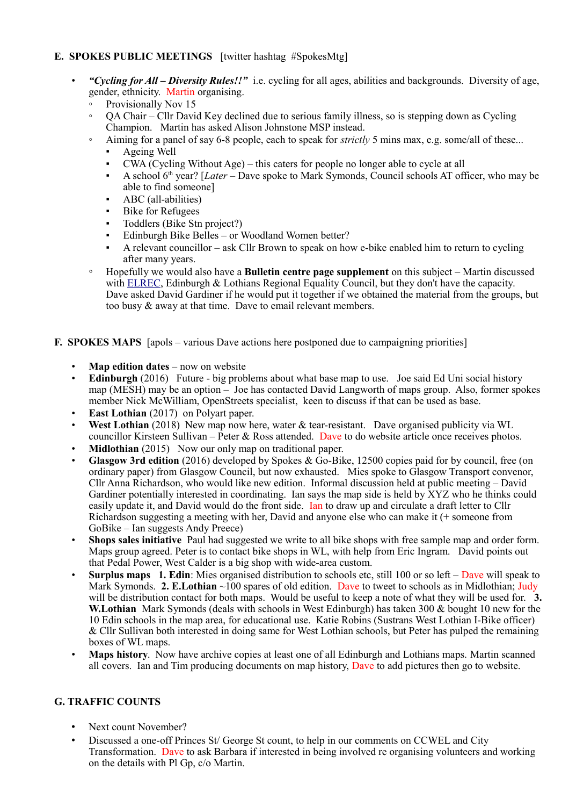# **E. SPOKES PUBLIC MEETINGS** [twitter hashtag #SpokesMtg]

- *"Cycling for All Diversity Rules!!"* i.e. cycling for all ages, abilities and backgrounds. Diversity of age, gender, ethnicity. Martin organising.
	- Provisionally Nov 15
	- QA Chair Cllr David Key declined due to serious family illness, so is stepping down as Cycling Champion. Martin has asked Alison Johnstone MSP instead.
	- Aiming for a panel of say 6-8 people, each to speak for *strictly* 5 mins max, e.g. some/all of these...
		- Ageing Well
		- $CWA$  (Cycling Without Age) this caters for people no longer able to cycle at all
		- A school 6th year? [*Later* Dave spoke to Mark Symonds, Council schools AT officer, who may be able to find someone]
		- ABC (all-abilities)
		- Bike for Refugees
		- Toddlers (Bike Stn project?)
		- Edinburgh Bike Belles or Woodland Women better?
		- A relevant councillor ask Cllr Brown to speak on how e-bike enabled him to return to cycling after many years.
	- Hopefully we would also have a **Bulletin centre page supplement** on this subject Martin discussed with **ELREC**, Edinburgh & Lothians Regional Equality Council, but they don't have the capacity. Dave asked David Gardiner if he would put it together if we obtained the material from the groups, but too busy & away at that time. Dave to email relevant members.
- **F. SPOKES MAPS** [apols various Dave actions here postponed due to campaigning priorities]
	- **Map edition dates** now on website
	- **Edinburgh** (2016) Future big problems about what base map to use. Joe said Ed Uni social history map (MESH) may be an option – Joe has contacted David Langworth of maps group. Also, former spokes member Nick McWilliam, OpenStreets specialist, keen to discuss if that can be used as base.
	- **East Lothian** (2017) on Polyart paper.
	- West Lothian (2018) New map now here, water & tear-resistant. Dave organised publicity via WL councillor Kirsteen Sullivan – Peter & Ross attended. Dave to do website article once receives photos.
	- **Midlothian** (2015) Now our only map on traditional paper.
	- **Glasgow 3rd edition** (2016) developed by Spokes & Go-Bike, 12500 copies paid for by council, free (on ordinary paper) from Glasgow Council, but now exhausted. Mies spoke to Glasgow Transport convenor, Cllr Anna Richardson, who would like new edition. Informal discussion held at public meeting – David Gardiner potentially interested in coordinating. Ian says the map side is held by XYZ who he thinks could easily update it, and David would do the front side. Ian to draw up and circulate a draft letter to Cllr Richardson suggesting a meeting with her, David and anyone else who can make it (+ someone from GoBike – Ian suggests Andy Preece)
	- **Shops sales initiative** Paul had suggested we write to all bike shops with free sample map and order form. Maps group agreed. Peter is to contact bike shops in WL, with help from Eric Ingram. David points out that Pedal Power, West Calder is a big shop with wide-area custom.
	- **Surplus maps 1. Edin**: Mies organised distribution to schools etc, still 100 or so left Dave will speak to Mark Symonds. **2. E. Lothian** ~100 spares of old edition. Dave to tweet to schools as in Midlothian; Judy will be distribution contact for both maps. Would be useful to keep a note of what they will be used for. **3. W.Lothian** Mark Symonds (deals with schools in West Edinburgh) has taken 300 & bought 10 new for the 10 Edin schools in the map area, for educational use. Katie Robins (Sustrans West Lothian I-Bike officer) & Cllr Sullivan both interested in doing same for West Lothian schools, but Peter has pulped the remaining boxes of WL maps.
	- **Maps history**. Now have archive copies at least one of all Edinburgh and Lothians maps. Martin scanned all covers. Ian and Tim producing documents on map history, Dave to add pictures then go to website.

## **G. TRAFFIC COUNTS**

- Next count November?
- Discussed a one-off Princes St/ George St count, to help in our comments on CCWEL and City Transformation. Dave to ask Barbara if interested in being involved re organising volunteers and working on the details with Pl Gp, c/o Martin.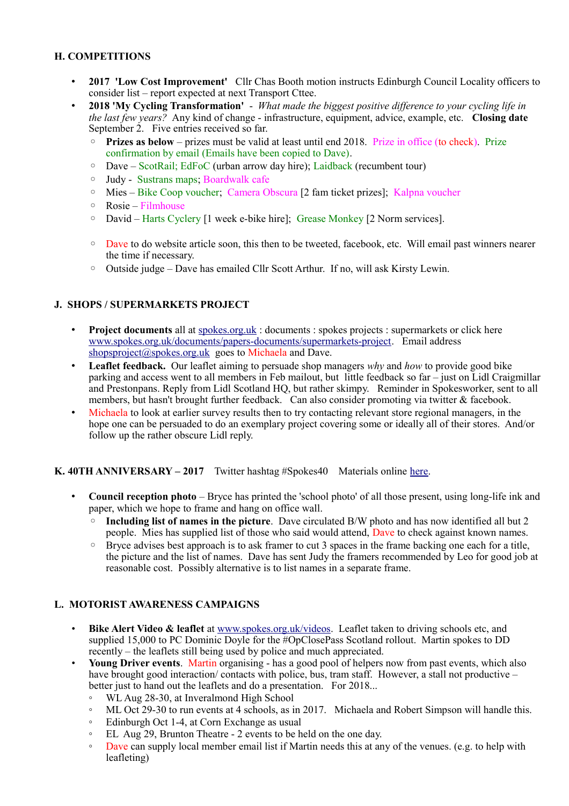# **H. COMPETITIONS**

- **2017 'Low Cost Improvement'** Cllr Chas Booth motion instructs Edinburgh Council Locality officers to consider list – report expected at next Transport Cttee.
- **2018 'My Cycling Transformation'**  *What made the biggest positive difference to your cycling life in the last few years?* Any kind of change - infrastructure, equipment, advice, example, etc. **Closing date** September 2. Five entries received so far.
	- **Prizes as below** prizes must be valid at least until end 2018. Prize in office (to check). Prize confirmation by email (Emails have been copied to Dave).
	- Dave ScotRail; EdFoC (urban arrow day hire); Laidback (recumbent tour)
	- Judy Sustrans maps; Boardwalk cafe
	- Mies Bike Coop voucher; Camera Obscura [2 fam ticket prizes]; Kalpna voucher
	- Rosie Filmhouse
	- David Harts Cyclery [1 week e-bike hire]; Grease Monkey [2 Norm services].
	- Dave to do website article soon, this then to be tweeted, facebook, etc. Will email past winners nearer the time if necessary.
	- Outside judge Dave has emailed Cllr Scott Arthur. If no, will ask Kirsty Lewin.

## **J. SHOPS / SUPERMARKETS PROJECT**

- **Project documents** all at [spokes.org.uk](http://spokes.org.uk/) : documents : spokes projects : supermarkets or click here [www.spokes.org.uk/documents/papers-documents/supermarkets-project.](http://www.spokes.org.uk/documents/papers-documents/supermarkets-project) Email address [shopsproject@spokes.org.uk](mailto:shopsproject@spokes.org.uk) goes to Michaela and Dave.
- **Leaflet feedback.** Our leaflet aiming to persuade shop managers *why* and *how* to provide good bike parking and access went to all members in Feb mailout, but little feedback so far – just on Lidl Craigmillar and Prestonpans. Reply from Lidl Scotland HQ, but rather skimpy. Reminder in Spokesworker, sent to all members, but hasn't brought further feedback. Can also consider promoting via twitter & facebook.
- Michaela to look at earlier survey results then to try contacting relevant store regional managers, in the hope one can be persuaded to do an exemplary project covering some or ideally all of their stores. And/or follow up the rather obscure Lidl reply.

#### **K. 40TH ANNIVERSARY – 2017** Twitter hashtag #Spokes40 Materials online [here.](http://www.spokes.org.uk/documents/odds-and-ends-may-be-exciting/spokes-history/)

- **Council reception photo** Bryce has printed the 'school photo' of all those present, using long-life ink and paper, which we hope to frame and hang on office wall.
	- **Including list of names in the picture**. Dave circulated B/W photo and has now identified all but 2 people. Mies has supplied list of those who said would attend, Dave to check against known names.
	- Bryce advises best approach is to ask framer to cut 3 spaces in the frame backing one each for a title, the picture and the list of names. Dave has sent Judy the framers recommended by Leo for good job at reasonable cost. Possibly alternative is to list names in a separate frame.

#### **L. MOTORIST AWARENESS CAMPAIGNS**

- **Bike Alert Video & leaflet** at [www.spokes.org.uk/videos.](http://www.spokes.org.uk/videos) Leaflet taken to driving schools etc, and supplied 15,000 to PC Dominic Doyle for the #OpClosePass Scotland rollout. Martin spokes to DD recently – the leaflets still being used by police and much appreciated.
- **Young Driver events**. Martin organising has a good pool of helpers now from past events, which also have brought good interaction/ contacts with police, bus, tram staff. However, a stall not productive – better just to hand out the leaflets and do a presentation. For 2018...
	- WL Aug 28-30, at Inveralmond High School
	- ML Oct 29-30 to run events at 4 schools, as in 2017. Michaela and Robert Simpson will handle this.
	- Edinburgh Oct 1-4, at Corn Exchange as usual
	- EL Aug 29, Brunton Theatre 2 events to be held on the one day.
	- Dave can supply local member email list if Martin needs this at any of the venues. (e.g. to help with leafleting)